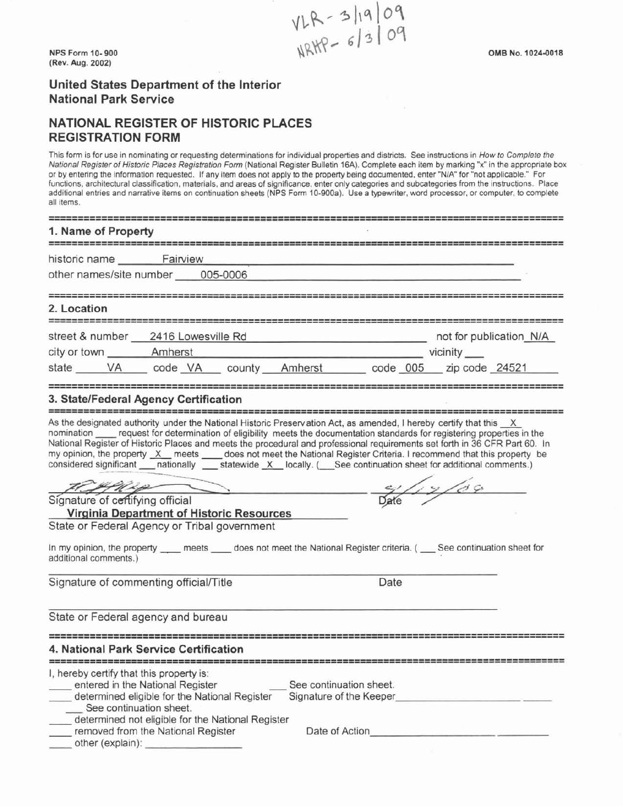$VLR - 3|19|09$ <br>
NPS Form 10-900<br>
NRHP - 6/3/09<br>
OMB No. 1024-0018 **(Rev. Aug. 2002)** 

# **NATIONAL REGISTER OF HISTORIC PLACES REGISTRATION FORM**

This form is for use in nominating or requesting determinations for individual properties and districts. See instructions in How to Complete the National Register of Historic Places Registration Form (National Register Bulletin 16A). Complete each item by marking "x" in the appropriate box or by entering the information requested. If any item does not apply to the property being documented, enter "N/A" for "not applicable." For functions, architectural classification, materials, and areas of significance, enter only categories and subcategories from the instructions. Place additional entries and narrative items on continuation sheets (NPS Form 10-900a). Use a typewriter, word processor,or computer, to complete all items.

| all lights                                                                                                                                                                                                                                                                                                                                                                                                                                                                                                                                                                                                                                                                                                                                                                                                                                                                          |                                                                                                                                                                                                  |                                                               |                         |                         |  |
|-------------------------------------------------------------------------------------------------------------------------------------------------------------------------------------------------------------------------------------------------------------------------------------------------------------------------------------------------------------------------------------------------------------------------------------------------------------------------------------------------------------------------------------------------------------------------------------------------------------------------------------------------------------------------------------------------------------------------------------------------------------------------------------------------------------------------------------------------------------------------------------|--------------------------------------------------------------------------------------------------------------------------------------------------------------------------------------------------|---------------------------------------------------------------|-------------------------|-------------------------|--|
| 1. Name of Property                                                                                                                                                                                                                                                                                                                                                                                                                                                                                                                                                                                                                                                                                                                                                                                                                                                                 |                                                                                                                                                                                                  |                                                               |                         |                         |  |
| historic name Fairview<br>other names/site number 005-0006                                                                                                                                                                                                                                                                                                                                                                                                                                                                                                                                                                                                                                                                                                                                                                                                                          |                                                                                                                                                                                                  |                                                               |                         |                         |  |
| 2. Location<br>=====================                                                                                                                                                                                                                                                                                                                                                                                                                                                                                                                                                                                                                                                                                                                                                                                                                                                |                                                                                                                                                                                                  |                                                               |                         |                         |  |
| city or town _________ Amherst<br>state VA code VA county Amherst code 005 zip code 24521                                                                                                                                                                                                                                                                                                                                                                                                                                                                                                                                                                                                                                                                                                                                                                                           |                                                                                                                                                                                                  | <b>Example 2019 Contract 2019 Contract 2019 Contract 2019</b> |                         |                         |  |
| 3. State/Federal Agency Certification                                                                                                                                                                                                                                                                                                                                                                                                                                                                                                                                                                                                                                                                                                                                                                                                                                               |                                                                                                                                                                                                  |                                                               |                         |                         |  |
| As the designated authority under the National Historic Preservation Act, as amended, I hereby certify that this X<br>nomination ____ request for determination of eligibility meets the documentation standards for registering properties in the<br>National Register of Historic Places and meets the procedural and professional requirements set forth in 36 CFR Part 60. In<br>my opinion, the property X meets _ does not meet the National Register Criteria. I recommend that this property be<br>considered significant ____ nationally _____ statewide _X __ locally. ( ____ See continuation sheet for additional comments.)<br>Signature of certifying official<br>State or Federal Agency or Tribal government<br>In my opinion, the property ____ meets ____ does not meet the National Register criteria. ( ___ See continuation sheet for<br>additional comments.) | $\overbrace{\rule{2.9cm}{0pt}}$<br><b>Virginia Department of Historic Resources</b>                                                                                                              |                                                               |                         | $\frac{1}{\text{Date}}$ |  |
| Signature of commenting official/Title                                                                                                                                                                                                                                                                                                                                                                                                                                                                                                                                                                                                                                                                                                                                                                                                                                              |                                                                                                                                                                                                  |                                                               | Date                    |                         |  |
| State or Federal agency and bureau                                                                                                                                                                                                                                                                                                                                                                                                                                                                                                                                                                                                                                                                                                                                                                                                                                                  |                                                                                                                                                                                                  |                                                               |                         |                         |  |
| 4. National Park Service Certification                                                                                                                                                                                                                                                                                                                                                                                                                                                                                                                                                                                                                                                                                                                                                                                                                                              |                                                                                                                                                                                                  |                                                               |                         |                         |  |
| I, hereby certify that this property is:<br>See continuation sheet.                                                                                                                                                                                                                                                                                                                                                                                                                                                                                                                                                                                                                                                                                                                                                                                                                 | entered in the National Register<br>determined eligible for the National Register<br>determined not eligible for the National Register<br>removed from the National Register<br>other (explain): | See continuation sheet.<br>Date of Action                     | Signature of the Keeper |                         |  |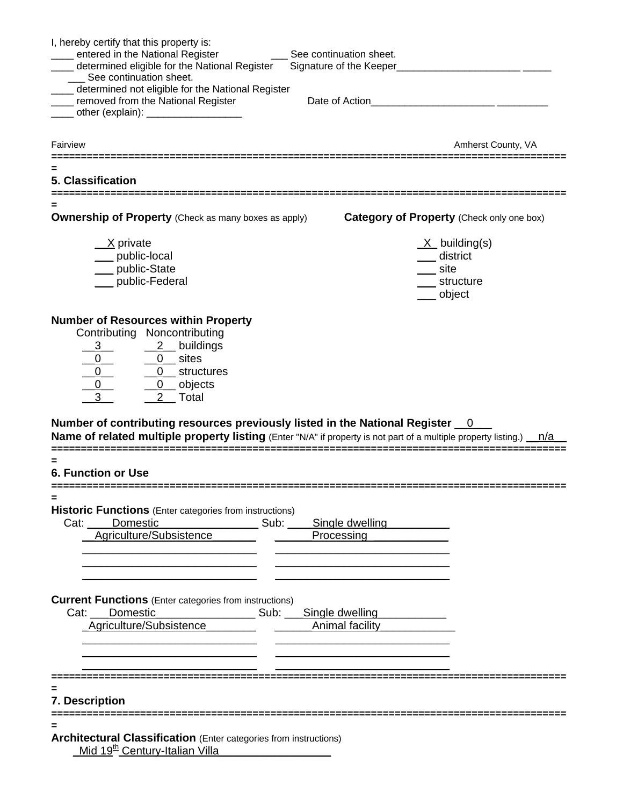| I, hereby certify that this property is:                                                                                                                                                                                                       |                                                                                                                     |
|------------------------------------------------------------------------------------------------------------------------------------------------------------------------------------------------------------------------------------------------|---------------------------------------------------------------------------------------------------------------------|
| __ entered in the National Register<br>____ determined eligible for the National Register                                                                                                                                                      | See continuation sheet.<br>Signature of the Keeper___________________________                                       |
| ___ See continuation sheet.                                                                                                                                                                                                                    |                                                                                                                     |
| ____ determined not eligible for the National Register                                                                                                                                                                                         |                                                                                                                     |
| ____ removed from the National Register                                                                                                                                                                                                        | Date of Action <b>Date of Action</b>                                                                                |
| _____ other (explain): ___________________                                                                                                                                                                                                     |                                                                                                                     |
| Fairview                                                                                                                                                                                                                                       | Amherst County, VA                                                                                                  |
|                                                                                                                                                                                                                                                |                                                                                                                     |
| 5. Classification                                                                                                                                                                                                                              |                                                                                                                     |
| <b>Ownership of Property</b> (Check as many boxes as apply)                                                                                                                                                                                    | Category of Property (Check only one box)                                                                           |
|                                                                                                                                                                                                                                                |                                                                                                                     |
| X private<br>___ public-local                                                                                                                                                                                                                  | $X$ building(s)<br>___ district                                                                                     |
| public-State                                                                                                                                                                                                                                   | _site                                                                                                               |
| public-Federal                                                                                                                                                                                                                                 | __ structure                                                                                                        |
|                                                                                                                                                                                                                                                | ___ object                                                                                                          |
|                                                                                                                                                                                                                                                |                                                                                                                     |
| <b>Number of Resources within Property</b>                                                                                                                                                                                                     |                                                                                                                     |
| Contributing Noncontributing                                                                                                                                                                                                                   |                                                                                                                     |
| $2$ buildings                                                                                                                                                                                                                                  |                                                                                                                     |
|                                                                                                                                                                                                                                                |                                                                                                                     |
| $\begin{array}{c c}\n3 & 2 & \text{buildi}\ \hline\n0 & 0 & \text{sites} \\ \hline\n0 & 0 & \text{struct}\n\hline\n0 & 0 & \text{object}\n\end{array}$<br>$\overline{0}$ structures                                                            |                                                                                                                     |
| 0 objects<br>2 Total                                                                                                                                                                                                                           |                                                                                                                     |
|                                                                                                                                                                                                                                                |                                                                                                                     |
| Number of contributing resources previously listed in the National Register 0                                                                                                                                                                  |                                                                                                                     |
|                                                                                                                                                                                                                                                | Name of related multiple property listing (Enter "N/A" if property is not part of a multiple property listing.) n/a |
|                                                                                                                                                                                                                                                |                                                                                                                     |
| <b>6. Function or Use</b>                                                                                                                                                                                                                      |                                                                                                                     |
|                                                                                                                                                                                                                                                |                                                                                                                     |
| <b>Historic Functions</b> (Enter categories from instructions)                                                                                                                                                                                 |                                                                                                                     |
| Cat: Domestic Sub: Single dwelling                                                                                                                                                                                                             |                                                                                                                     |
| Agriculture/Subsistence                                                                                                                                                                                                                        | Processing                                                                                                          |
|                                                                                                                                                                                                                                                |                                                                                                                     |
|                                                                                                                                                                                                                                                |                                                                                                                     |
|                                                                                                                                                                                                                                                |                                                                                                                     |
| <b>Current Functions</b> (Enter categories from instructions)                                                                                                                                                                                  |                                                                                                                     |
| Cat: Domestic                                                                                                                                                                                                                                  | Sub: Single dwelling                                                                                                |
| Agriculture/Subsistence Animal facility                                                                                                                                                                                                        |                                                                                                                     |
|                                                                                                                                                                                                                                                |                                                                                                                     |
|                                                                                                                                                                                                                                                |                                                                                                                     |
|                                                                                                                                                                                                                                                |                                                                                                                     |
|                                                                                                                                                                                                                                                |                                                                                                                     |
| 7. Description                                                                                                                                                                                                                                 |                                                                                                                     |
|                                                                                                                                                                                                                                                |                                                                                                                     |
|                                                                                                                                                                                                                                                |                                                                                                                     |
| <b>Architectural Classification (Enter categories from instructions)</b>                                                                                                                                                                       |                                                                                                                     |
| Mid 19 <sup>th</sup> Century-Italian Villa <b>Communist Contract Contract Contract Contract Contract Contract Contract Control Contract Contract Contract Contract Contract Contract Contract Contract Contract Contract Contract Contract</b> |                                                                                                                     |
|                                                                                                                                                                                                                                                |                                                                                                                     |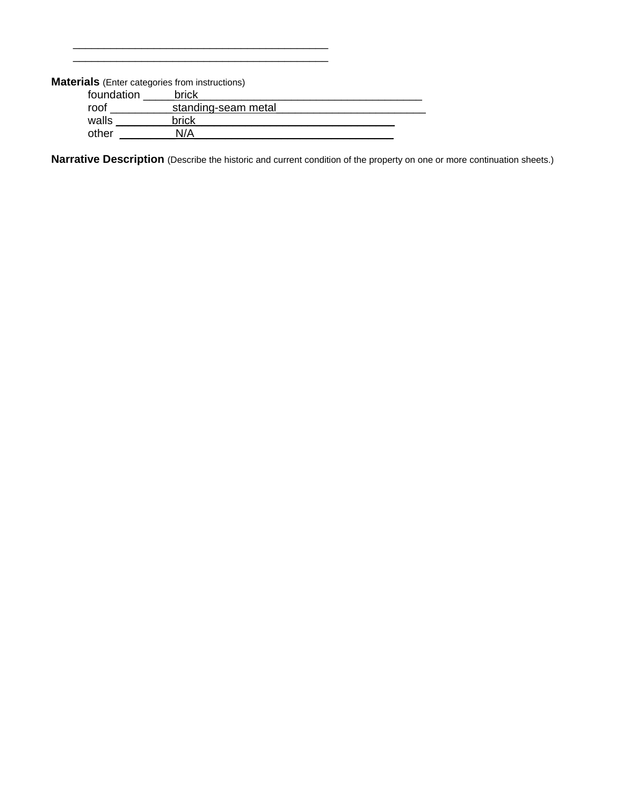**Materials** (Enter categories from instructions)

 $\overline{\phantom{a}}$  , which is a set of the set of the set of the set of the set of the set of the set of the set of the set of the set of the set of the set of the set of the set of the set of the set of the set of the set of th

| foundation | brick               |  |
|------------|---------------------|--|
| roof       | standing-seam metal |  |
| walls      | brick               |  |
| other      | N/A                 |  |

**Narrative Description** (Describe the historic and current condition of the property on one or more continuation sheets.)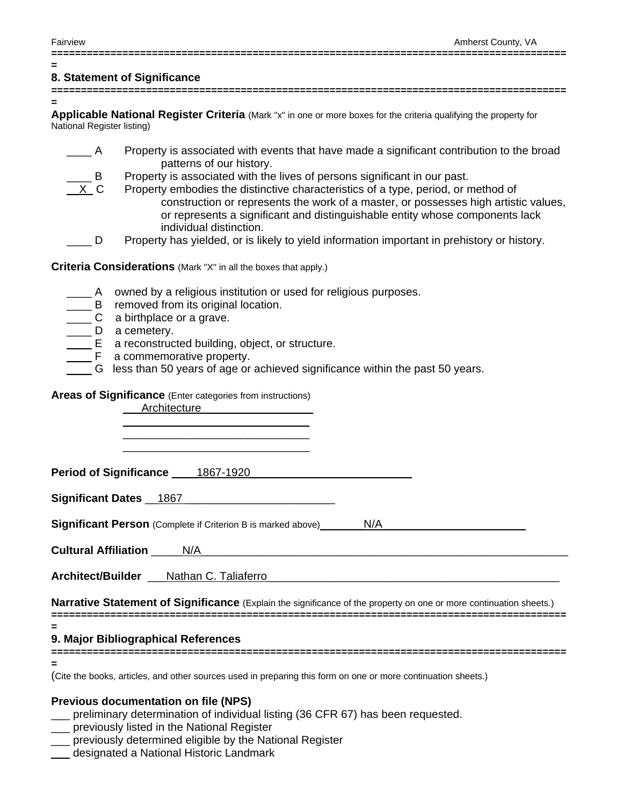**=** 

#### **=======================================================================================**

# **8. Statement of Significance**

**=======================================================================================**

**= Applicable National Register Criteria** (Mark "x" in one or more boxes for the criteria qualifying the property for National Register listing)

- A Property is associated with events that have made a significant contribution to the broad patterns of our history.
	- Property is associated with the lives of persons significant in our past.
		- Property embodies the distinctive characteristics of a type, period, or method of construction or represents the work of a master, or possesses high artistic values, or represents a significant and distinguishable entity whose components lack individual distinction.
- D Property has yielded, or is likely to yield information important in prehistory or history.

**Criteria Considerations** (Mark "X" in all the boxes that apply.)

- A owned by a religious institution or used for religious purposes.
- B removed from its original location.
- C a birthplace or a grave.
- D a cemetery.
	- E a reconstructed building, object, or structure.
	- F a commemorative property.
- \_\_\_\_ G less than 50 years of age or achieved significance within the past 50 years.

#### **Areas of Significance** (Enter categories from instructions) \_\_\_Architecture\_\_\_\_\_\_\_\_\_\_\_\_\_\_\_\_\_\_

| 1.10111001010                                                                                                      |  |
|--------------------------------------------------------------------------------------------------------------------|--|
|                                                                                                                    |  |
| Period of Significance 1867-1920                                                                                   |  |
| Significant Dates 1867                                                                                             |  |
| <b>Significant Person</b> (Complete if Criterion B is marked above) N/A                                            |  |
|                                                                                                                    |  |
| Architect/Builder ___ Nathan C. Taliaferro                                                                         |  |
| Narrative Statement of Significance (Explain the significance of the property on one or more continuation sheets.) |  |

**=======================================================================================**

**=** 

#### **9. Major Bibliographical References**

**======================================================================================= =** 

(Cite the books, articles, and other sources used in preparing this form on one or more continuation sheets.)

#### **Previous documentation on file (NPS)**

- \_\_\_ preliminary determination of individual listing (36 CFR 67) has been requested.
- \_\_\_ previously listed in the National Register
- \_\_\_ previously determined eligible by the National Register
- \_\_\_ designated a National Historic Landmark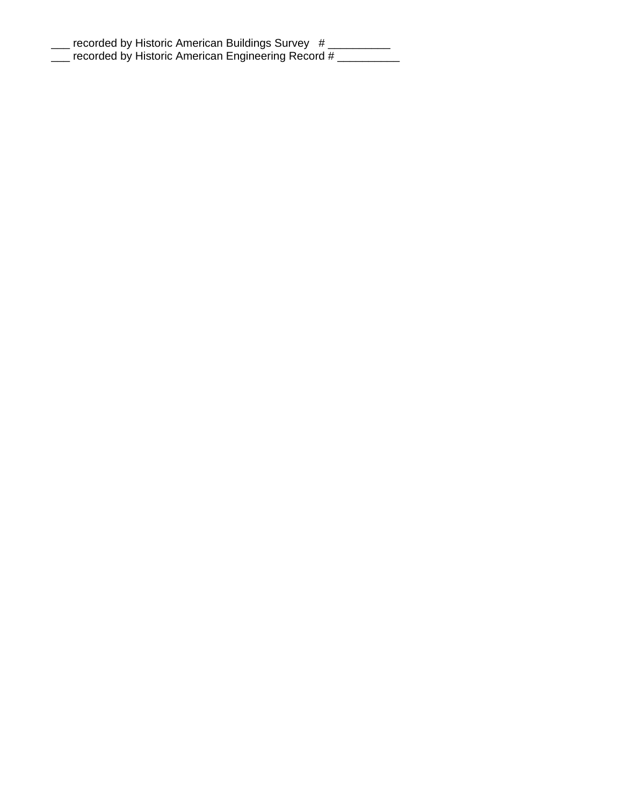| recorded by Historic American Buildings Survey #   |  |
|----------------------------------------------------|--|
| recorded by Historic American Engineering Record # |  |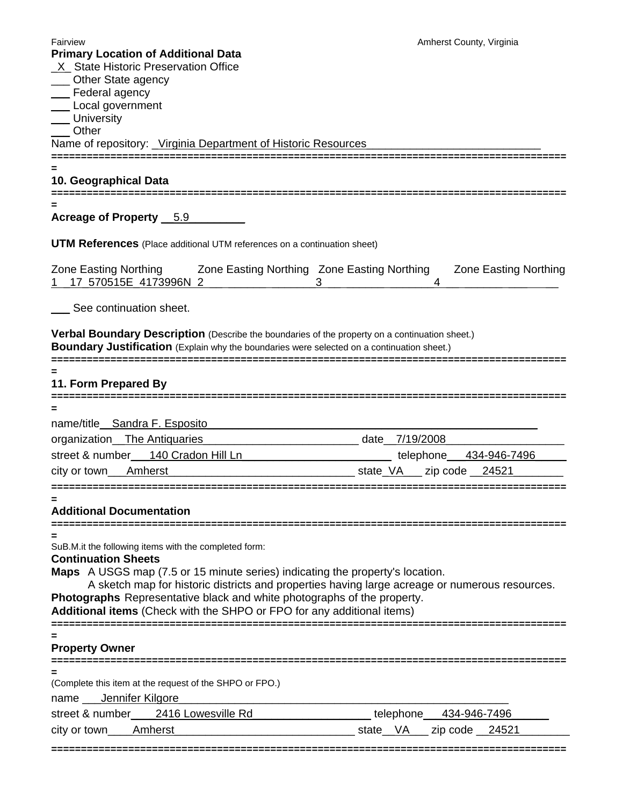| <b>Primary Location of Additional Data</b>                                                                                                                                                   | Amherst County, Virginia                                                                       |
|----------------------------------------------------------------------------------------------------------------------------------------------------------------------------------------------|------------------------------------------------------------------------------------------------|
|                                                                                                                                                                                              |                                                                                                |
| <b>X</b> State Historic Preservation Office<br>___ Other State agency                                                                                                                        |                                                                                                |
| ___ Federal agency                                                                                                                                                                           |                                                                                                |
| __ Local government                                                                                                                                                                          |                                                                                                |
| ___ University<br>___ Other                                                                                                                                                                  |                                                                                                |
|                                                                                                                                                                                              |                                                                                                |
| Name of repository: Virginia Department of Historic Resources                                                                                                                                |                                                                                                |
| 10. Geographical Data                                                                                                                                                                        |                                                                                                |
| Acreage of Property 5.9                                                                                                                                                                      |                                                                                                |
| <b>UTM References</b> (Place additional UTM references on a continuation sheet)                                                                                                              |                                                                                                |
| Zone Easting Northing <b>3.1 Zone Easting Northing Zone Easting Northing</b><br>17 570515E 4173996N 2                                                                                        | <b>Zone Easting Northing</b>                                                                   |
| See continuation sheet.                                                                                                                                                                      |                                                                                                |
| Verbal Boundary Description (Describe the boundaries of the property on a continuation sheet.)<br>Boundary Justification (Explain why the boundaries were selected on a continuation sheet.) |                                                                                                |
| 11. Form Prepared By                                                                                                                                                                         |                                                                                                |
|                                                                                                                                                                                              |                                                                                                |
| name/title_Sandra F. Esposito                                                                                                                                                                |                                                                                                |
| organization_The Antiquaries                                                                                                                                                                 |                                                                                                |
|                                                                                                                                                                                              |                                                                                                |
|                                                                                                                                                                                              |                                                                                                |
|                                                                                                                                                                                              | street & number_ 140 Cradon Hill Ln determination telephone_ 434-946-7496                      |
|                                                                                                                                                                                              |                                                                                                |
|                                                                                                                                                                                              |                                                                                                |
| <b>Additional Documentation</b>                                                                                                                                                              |                                                                                                |
|                                                                                                                                                                                              |                                                                                                |
| SuB.M.it the following items with the completed form:                                                                                                                                        |                                                                                                |
| <b>Continuation Sheets</b>                                                                                                                                                                   |                                                                                                |
| <b>Maps</b> A USGS map (7.5 or 15 minute series) indicating the property's location.                                                                                                         |                                                                                                |
|                                                                                                                                                                                              | A sketch map for historic districts and properties having large acreage or numerous resources. |
| Photographs Representative black and white photographs of the property.<br>Additional items (Check with the SHPO or FPO for any additional items)                                            |                                                                                                |
|                                                                                                                                                                                              |                                                                                                |
| <b>Property Owner</b>                                                                                                                                                                        |                                                                                                |
|                                                                                                                                                                                              | ================================                                                               |
| (Complete this item at the request of the SHPO or FPO.)                                                                                                                                      |                                                                                                |
|                                                                                                                                                                                              |                                                                                                |
| street & number____2416 Lowesville Rd___________________telephone___434-946-7496______                                                                                                       |                                                                                                |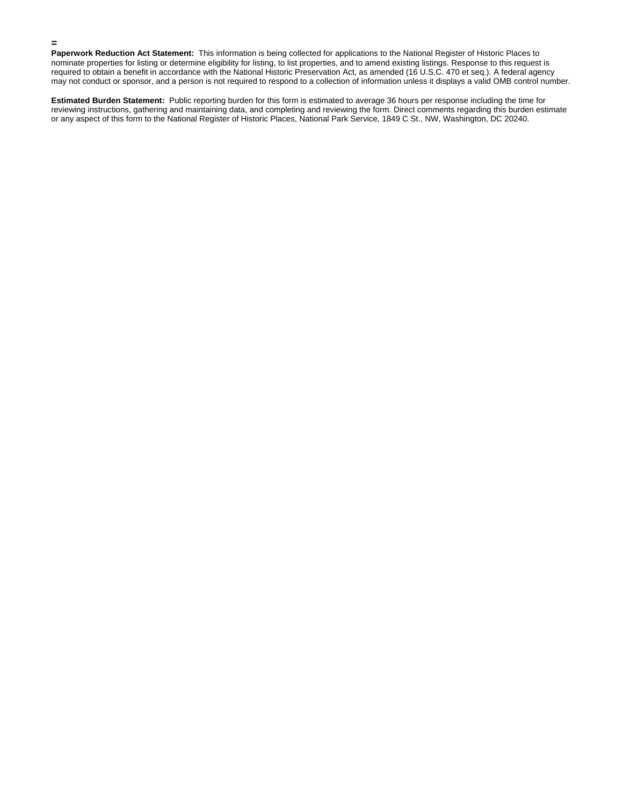**Paperwork Reduction Act Statement:** This information is being collected for applications to the National Register of Historic Places to nominate properties for listing or determine eligibility for listing, to list properties, and to amend existing listings. Response to this request is required to obtain a benefit in accordance with the National Historic Preservation Act, as amended (16 U.S.C. 470 et seq.). A federal agency may not conduct or sponsor, and a person is not required to respond to a collection of information unless it displays a valid OMB control number.

**=** 

**Estimated Burden Statement:** Public reporting burden for this form is estimated to average 36 hours per response including the time for reviewing instructions, gathering and maintaining data, and completing and reviewing the form. Direct comments regarding this burden estimate or any aspect of this form to the National Register of Historic Places, National Park Service, 1849 C St., NW, Washington, DC 20240.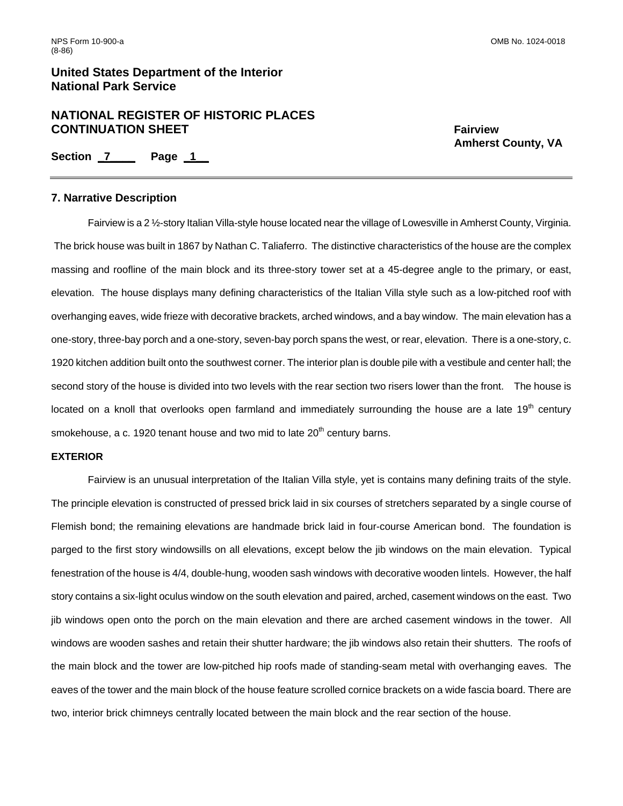# **NATIONAL REGISTER OF HISTORIC PLACES CONTINUATION SHEET** FAIRWALLER FAIRWIEW FAIRWIEW

 **Amherst County, VA** 

**Section \_7\_\_\_\_ Page \_1\_\_** 

#### **7. Narrative Description**

Fairview is a 2 ½-story Italian Villa-style house located near the village of Lowesville in Amherst County, Virginia. The brick house was built in 1867 by Nathan C. Taliaferro. The distinctive characteristics of the house are the complex massing and roofline of the main block and its three-story tower set at a 45-degree angle to the primary, or east, elevation. The house displays many defining characteristics of the Italian Villa style such as a low-pitched roof with overhanging eaves, wide frieze with decorative brackets, arched windows, and a bay window. The main elevation has a one-story, three-bay porch and a one-story, seven-bay porch spans the west, or rear, elevation. There is a one-story, c. 1920 kitchen addition built onto the southwest corner. The interior plan is double pile with a vestibule and center hall; the second story of the house is divided into two levels with the rear section two risers lower than the front. The house is located on a knoll that overlooks open farmland and immediately surrounding the house are a late  $19<sup>th</sup>$  century smokehouse, a c. 1920 tenant house and two mid to late  $20<sup>th</sup>$  century barns.

#### **EXTERIOR**

 Fairview is an unusual interpretation of the Italian Villa style, yet is contains many defining traits of the style. The principle elevation is constructed of pressed brick laid in six courses of stretchers separated by a single course of Flemish bond; the remaining elevations are handmade brick laid in four-course American bond. The foundation is parged to the first story windowsills on all elevations, except below the jib windows on the main elevation. Typical fenestration of the house is 4/4, double-hung, wooden sash windows with decorative wooden lintels. However, the half story contains a six-light oculus window on the south elevation and paired, arched, casement windows on the east. Two jib windows open onto the porch on the main elevation and there are arched casement windows in the tower. All windows are wooden sashes and retain their shutter hardware; the jib windows also retain their shutters. The roofs of the main block and the tower are low-pitched hip roofs made of standing-seam metal with overhanging eaves. The eaves of the tower and the main block of the house feature scrolled cornice brackets on a wide fascia board. There are two, interior brick chimneys centrally located between the main block and the rear section of the house.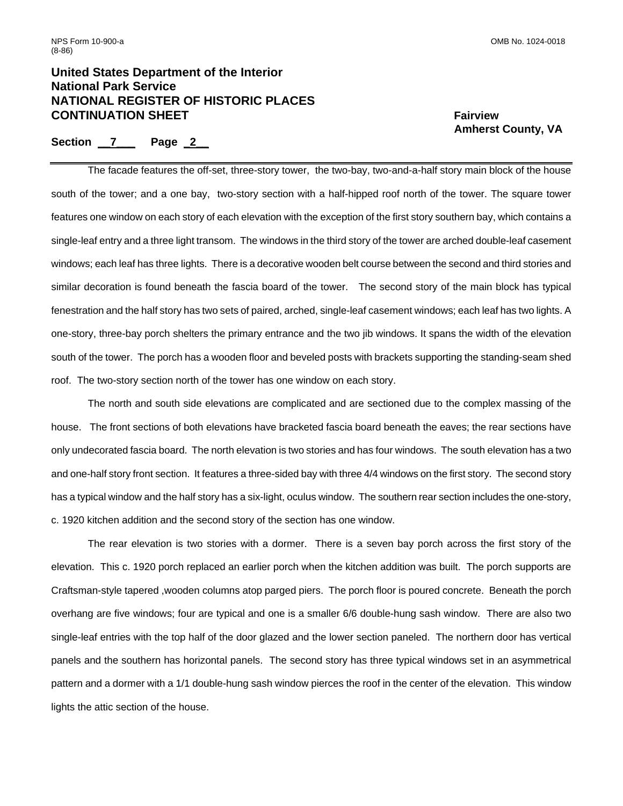# **United States Department of the Interior National Park Service NATIONAL REGISTER OF HISTORIC PLACES CONTINUATION SHEET** FAIRWALLER FAIRWIEW FAIRWIEW

### Section 7 Page 2

 **Amherst County, VA** 

 The facade features the off-set, three-story tower, the two-bay, two-and-a-half story main block of the house south of the tower; and a one bay, two-story section with a half-hipped roof north of the tower. The square tower features one window on each story of each elevation with the exception of the first story southern bay, which contains a single-leaf entry and a three light transom. The windows in the third story of the tower are arched double-leaf casement windows; each leaf has three lights. There is a decorative wooden belt course between the second and third stories and similar decoration is found beneath the fascia board of the tower. The second story of the main block has typical fenestration and the half story has two sets of paired, arched, single-leaf casement windows; each leaf has two lights. A one-story, three-bay porch shelters the primary entrance and the two jib windows. It spans the width of the elevation south of the tower. The porch has a wooden floor and beveled posts with brackets supporting the standing-seam shed roof. The two-story section north of the tower has one window on each story.

The north and south side elevations are complicated and are sectioned due to the complex massing of the house. The front sections of both elevations have bracketed fascia board beneath the eaves; the rear sections have only undecorated fascia board. The north elevation is two stories and has four windows. The south elevation has a two and one-half story front section. It features a three-sided bay with three 4/4 windows on the first story. The second story has a typical window and the half story has a six-light, oculus window. The southern rear section includes the one-story, c. 1920 kitchen addition and the second story of the section has one window.

 The rear elevation is two stories with a dormer. There is a seven bay porch across the first story of the elevation. This c. 1920 porch replaced an earlier porch when the kitchen addition was built. The porch supports are Craftsman-style tapered ,wooden columns atop parged piers. The porch floor is poured concrete. Beneath the porch overhang are five windows; four are typical and one is a smaller 6/6 double-hung sash window. There are also two single-leaf entries with the top half of the door glazed and the lower section paneled. The northern door has vertical panels and the southern has horizontal panels. The second story has three typical windows set in an asymmetrical pattern and a dormer with a 1/1 double-hung sash window pierces the roof in the center of the elevation. This window lights the attic section of the house.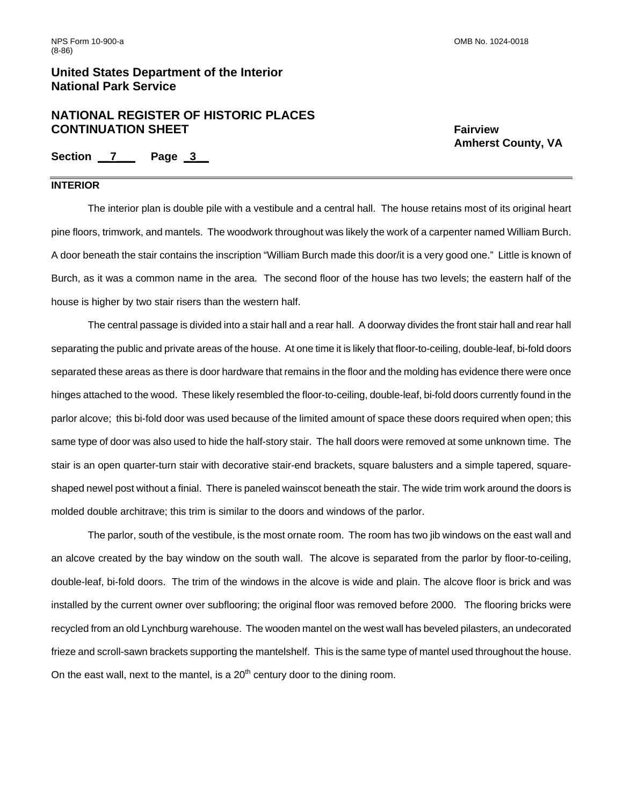# **NATIONAL REGISTER OF HISTORIC PLACES CONTINUATION SHEET** FAIRWALLER THE STATE FAIRWIEW SHEET

 **Amherst County, VA** 

**Section \_\_7\_\_\_ Page \_3\_\_** 

### **INTERIOR**

 The interior plan is double pile with a vestibule and a central hall. The house retains most of its original heart pine floors, trimwork, and mantels. The woodwork throughout was likely the work of a carpenter named William Burch. A door beneath the stair contains the inscription "William Burch made this door/it is a very good one." Little is known of Burch, as it was a common name in the area. The second floor of the house has two levels; the eastern half of the house is higher by two stair risers than the western half.

 The central passage is divided into a stair hall and a rear hall. A doorway divides the front stair hall and rear hall separating the public and private areas of the house. At one time it is likely that floor-to-ceiling, double-leaf, bi-fold doors separated these areas as there is door hardware that remains in the floor and the molding has evidence there were once hinges attached to the wood. These likely resembled the floor-to-ceiling, double-leaf, bi-fold doors currently found in the parlor alcove; this bi-fold door was used because of the limited amount of space these doors required when open; this same type of door was also used to hide the half-story stair. The hall doors were removed at some unknown time. The stair is an open quarter-turn stair with decorative stair-end brackets, square balusters and a simple tapered, squareshaped newel post without a finial. There is paneled wainscot beneath the stair. The wide trim work around the doors is molded double architrave; this trim is similar to the doors and windows of the parlor.

 The parlor, south of the vestibule, is the most ornate room. The room has two jib windows on the east wall and an alcove created by the bay window on the south wall. The alcove is separated from the parlor by floor-to-ceiling, double-leaf, bi-fold doors. The trim of the windows in the alcove is wide and plain. The alcove floor is brick and was installed by the current owner over subflooring; the original floor was removed before 2000. The flooring bricks were recycled from an old Lynchburg warehouse. The wooden mantel on the west wall has beveled pilasters, an undecorated frieze and scroll-sawn brackets supporting the mantelshelf. This is the same type of mantel used throughout the house. On the east wall, next to the mantel, is a  $20<sup>th</sup>$  century door to the dining room.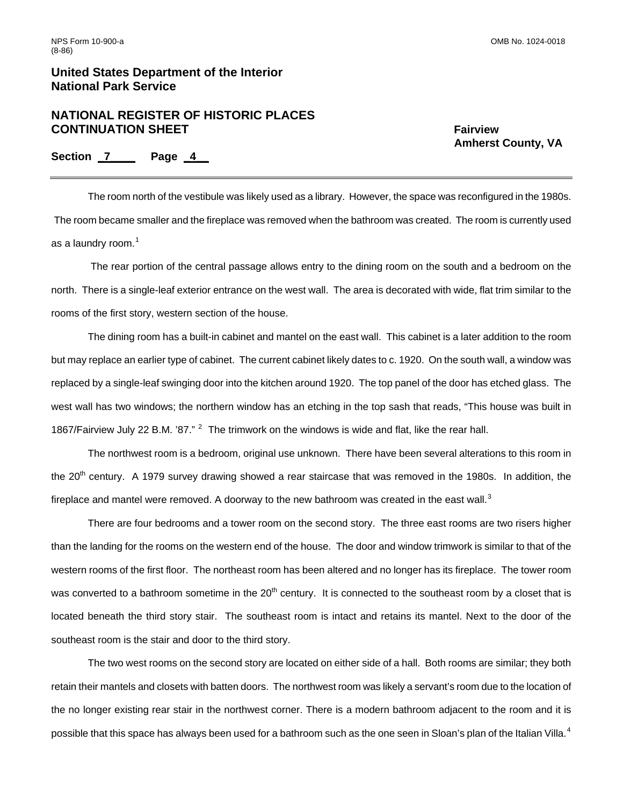## **NATIONAL REGISTER OF HISTORIC PLACES CONTINUATION SHEET** FAIRWALLER THE STATE FAIRWIEW SHEET

 **Amherst County, VA** 

**Section \_7\_\_\_\_ Page \_4\_\_** 

 The room north of the vestibule was likely used as a library. However, the space was reconfigured in the 1980s. The room became smaller and the fireplace was removed when the bathroom was created. The room is currently used as a laundry room. $<sup>1</sup>$  $<sup>1</sup>$  $<sup>1</sup>$ </sup>

 The rear portion of the central passage allows entry to the dining room on the south and a bedroom on the north. There is a single-leaf exterior entrance on the west wall. The area is decorated with wide, flat trim similar to the rooms of the first story, western section of the house.

The dining room has a built-in cabinet and mantel on the east wall. This cabinet is a later addition to the room but may replace an earlier type of cabinet. The current cabinet likely dates to c. 1920. On the south wall, a window was replaced by a single-leaf swinging door into the kitchen around 1920. The top panel of the door has etched glass. The west wall has two windows; the northern window has an etching in the top sash that reads, "This house was built in 1867/Fairview July [2](#page-22-1)2 B.M. '87." <sup>2</sup> The trimwork on the windows is wide and flat, like the rear hall.

The northwest room is a bedroom, original use unknown. There have been several alterations to this room in the  $20<sup>th</sup>$  century. A 1979 survey drawing showed a rear staircase that was removed in the 1980s. In addition, the fireplace and mantel were removed. A doorway to the new bathroom was created in the east wall.<sup>[3](#page-22-1)</sup>

 There are four bedrooms and a tower room on the second story. The three east rooms are two risers higher than the landing for the rooms on the western end of the house. The door and window trimwork is similar to that of the western rooms of the first floor. The northeast room has been altered and no longer has its fireplace. The tower room was converted to a bathroom sometime in the  $20<sup>th</sup>$  century. It is connected to the southeast room by a closet that is located beneath the third story stair. The southeast room is intact and retains its mantel. Next to the door of the southeast room is the stair and door to the third story.

The two west rooms on the second story are located on either side of a hall. Both rooms are similar; they both retain their mantels and closets with batten doors. The northwest room was likely a servant's room due to the location of the no longer existing rear stair in the northwest corner. There is a modern bathroom adjacent to the room and it is possible that this space has always been used for a bathroom such as the one seen in Sloan's plan of the Italian Villa.<sup>[4](#page-22-1)</sup>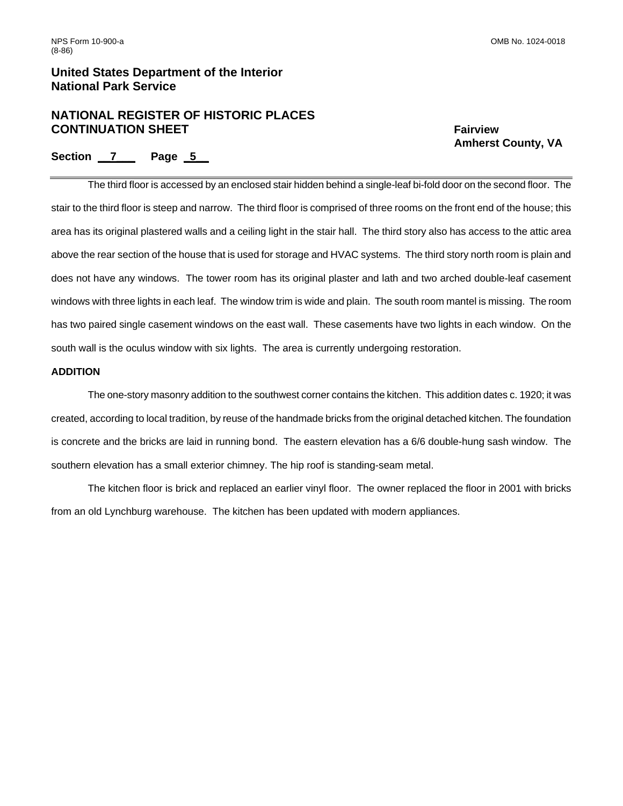# **NATIONAL REGISTER OF HISTORIC PLACES CONTINUATION SHEET** FAIRWALLER THE STATE FAIRWIEW SHEET

 **Amherst County, VA** 

### **Section \_\_7\_\_\_ Page \_5\_\_**

 The third floor is accessed by an enclosed stair hidden behind a single-leaf bi-fold door on the second floor. The stair to the third floor is steep and narrow. The third floor is comprised of three rooms on the front end of the house; this area has its original plastered walls and a ceiling light in the stair hall. The third story also has access to the attic area above the rear section of the house that is used for storage and HVAC systems. The third story north room is plain and does not have any windows. The tower room has its original plaster and lath and two arched double-leaf casement windows with three lights in each leaf. The window trim is wide and plain. The south room mantel is missing. The room has two paired single casement windows on the east wall. These casements have two lights in each window. On the south wall is the oculus window with six lights. The area is currently undergoing restoration.

### **ADDITION**

 The one-story masonry addition to the southwest corner contains the kitchen. This addition dates c. 1920; it was created, according to local tradition, by reuse of the handmade bricks from the original detached kitchen. The foundation is concrete and the bricks are laid in running bond. The eastern elevation has a 6/6 double-hung sash window. The southern elevation has a small exterior chimney. The hip roof is standing-seam metal.

 The kitchen floor is brick and replaced an earlier vinyl floor. The owner replaced the floor in 2001 with bricks from an old Lynchburg warehouse. The kitchen has been updated with modern appliances.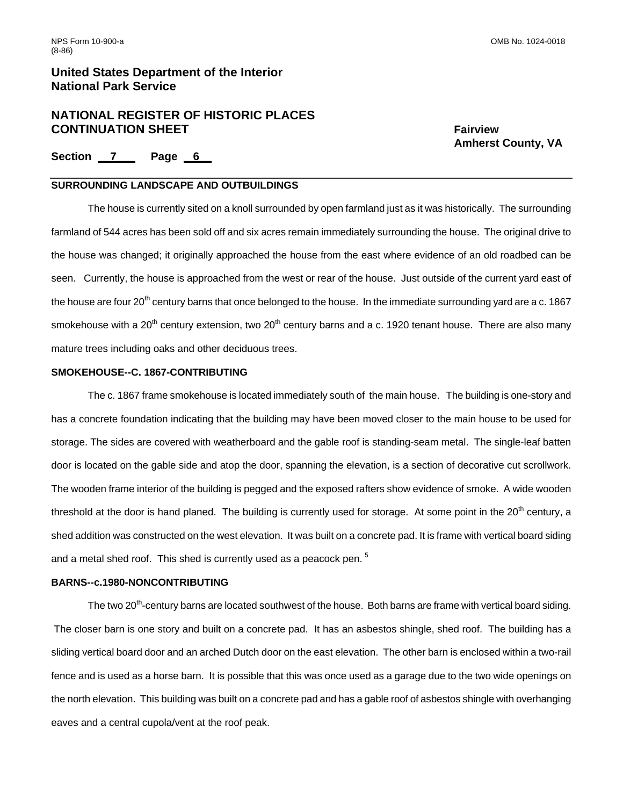# **NATIONAL REGISTER OF HISTORIC PLACES CONTINUATION SHEET** FAIRWALLER THE STATE FAIRWIEW SHEET

 **Amherst County, VA** 

Section 7 Page 6

### **SURROUNDING LANDSCAPE AND OUTBUILDINGS**

 The house is currently sited on a knoll surrounded by open farmland just as it was historically. The surrounding farmland of 544 acres has been sold off and six acres remain immediately surrounding the house. The original drive to the house was changed; it originally approached the house from the east where evidence of an old roadbed can be seen. Currently, the house is approached from the west or rear of the house. Just outside of the current yard east of the house are four  $20^{th}$  century barns that once belonged to the house. In the immediate surrounding yard are a c. 1867 smokehouse with a 20<sup>th</sup> century extension, two 20<sup>th</sup> century barns and a c. 1920 tenant house. There are also many mature trees including oaks and other deciduous trees.

### **SMOKEHOUSE--C. 1867-CONTRIBUTING**

 The c. 1867 frame smokehouse is located immediately south of the main house. The building is one-story and has a concrete foundation indicating that the building may have been moved closer to the main house to be used for storage. The sides are covered with weatherboard and the gable roof is standing-seam metal. The single-leaf batten door is located on the gable side and atop the door, spanning the elevation, is a section of decorative cut scrollwork. The wooden frame interior of the building is pegged and the exposed rafters show evidence of smoke. A wide wooden threshold at the door is hand planed. The building is currently used for storage. At some point in the  $20<sup>th</sup>$  century, a shed addition was constructed on the west elevation. It was built on a concrete pad. It is frame with vertical board siding and a metal shed roof. This shed is currently used as a peacock pen.<sup>[5](#page-22-1)</sup>

#### **BARNS--c.1980-NONCONTRIBUTING**

The two 20<sup>th</sup>-century barns are located southwest of the house. Both barns are frame with vertical board siding. The closer barn is one story and built on a concrete pad. It has an asbestos shingle, shed roof. The building has a sliding vertical board door and an arched Dutch door on the east elevation. The other barn is enclosed within a two-rail fence and is used as a horse barn. It is possible that this was once used as a garage due to the two wide openings on the north elevation. This building was built on a concrete pad and has a gable roof of asbestos shingle with overhanging eaves and a central cupola/vent at the roof peak.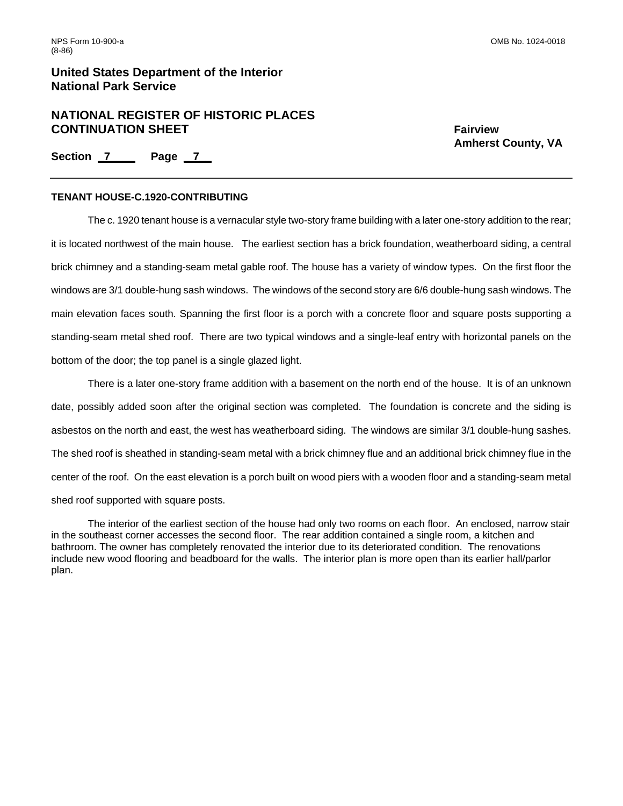# **NATIONAL REGISTER OF HISTORIC PLACES CONTINUATION SHEET** FAIRWALLER THE STATE FAIRWIEW SHEET

 **Amherst County, VA** 

**Section \_7\_\_\_\_ Page \_ 7\_\_** 

### **TENANT HOUSE-C.1920-CONTRIBUTING**

 The c. 1920 tenant house is a vernacular style two-story frame building with a later one-story addition to the rear; it is located northwest of the main house. The earliest section has a brick foundation, weatherboard siding, a central brick chimney and a standing-seam metal gable roof. The house has a variety of window types. On the first floor the windows are 3/1 double-hung sash windows. The windows of the second story are 6/6 double-hung sash windows. The main elevation faces south. Spanning the first floor is a porch with a concrete floor and square posts supporting a standing-seam metal shed roof. There are two typical windows and a single-leaf entry with horizontal panels on the bottom of the door; the top panel is a single glazed light.

There is a later one-story frame addition with a basement on the north end of the house. It is of an unknown date, possibly added soon after the original section was completed. The foundation is concrete and the siding is asbestos on the north and east, the west has weatherboard siding. The windows are similar 3/1 double-hung sashes. The shed roof is sheathed in standing-seam metal with a brick chimney flue and an additional brick chimney flue in the center of the roof. On the east elevation is a porch built on wood piers with a wooden floor and a standing-seam metal shed roof supported with square posts.

 The interior of the earliest section of the house had only two rooms on each floor. An enclosed, narrow stair in the southeast corner accesses the second floor. The rear addition contained a single room, a kitchen and bathroom. The owner has completely renovated the interior due to its deteriorated condition. The renovations include new wood flooring and beadboard for the walls. The interior plan is more open than its earlier hall/parlor plan.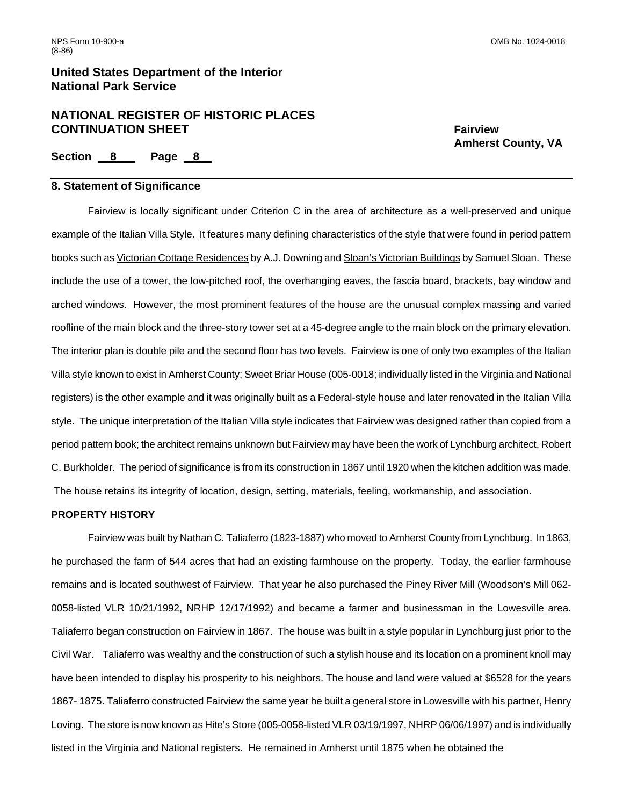# **NATIONAL REGISTER OF HISTORIC PLACES CONTINUATION SHEET** FAIRWALLER FAIRWIEW FAIRWIEW

 **Amherst County, VA** 

**Section \_\_8\_\_\_ Page \_ 8\_\_** 

#### **8. Statement of Significance**

Fairview is locally significant under Criterion C in the area of architecture as a well-preserved and unique example of the Italian Villa Style. It features many defining characteristics of the style that were found in period pattern books such as Victorian Cottage Residences by A.J. Downing and Sloan's Victorian Buildings by Samuel Sloan. These include the use of a tower, the low-pitched roof, the overhanging eaves, the fascia board, brackets, bay window and arched windows. However, the most prominent features of the house are the unusual complex massing and varied roofline of the main block and the three-story tower set at a 45-degree angle to the main block on the primary elevation. The interior plan is double pile and the second floor has two levels. Fairview is one of only two examples of the Italian Villa style known to exist in Amherst County; Sweet Briar House (005-0018; individually listed in the Virginia and National registers) is the other example and it was originally built as a Federal-style house and later renovated in the Italian Villa style. The unique interpretation of the Italian Villa style indicates that Fairview was designed rather than copied from a period pattern book; the architect remains unknown but Fairview may have been the work of Lynchburg architect, Robert C. Burkholder. The period of significance is from its construction in 1867 until 1920 when the kitchen addition was made. The house retains its integrity of location, design, setting, materials, feeling, workmanship, and association.

#### **PROPERTY HISTORY**

Fairview was built by Nathan C. Taliaferro (1823-1887) who moved to Amherst County from Lynchburg. In 1863, he purchased the farm of 544 acres that had an existing farmhouse on the property. Today, the earlier farmhouse remains and is located southwest of Fairview. That year he also purchased the Piney River Mill (Woodson's Mill 062- 0058-listed VLR 10/21/1992, NRHP 12/17/1992) and became a farmer and businessman in the Lowesville area. Taliaferro began construction on Fairview in 1867. The house was built in a style popular in Lynchburg just prior to the Civil War. Taliaferro was wealthy and the construction of such a stylish house and its location on a prominent knoll may have been intended to display his prosperity to his neighbors. The house and land were valued at \$6528 for the years 1867- 1875. Taliaferro constructed Fairview the same year he built a general store in Lowesville with his partner, Henry Loving. The store is now known as Hite's Store (005-0058-listed VLR 03/19/1997, NHRP 06/06/1997) and is individually listed in the Virginia and National registers. He remained in Amherst until 1875 when he obtained the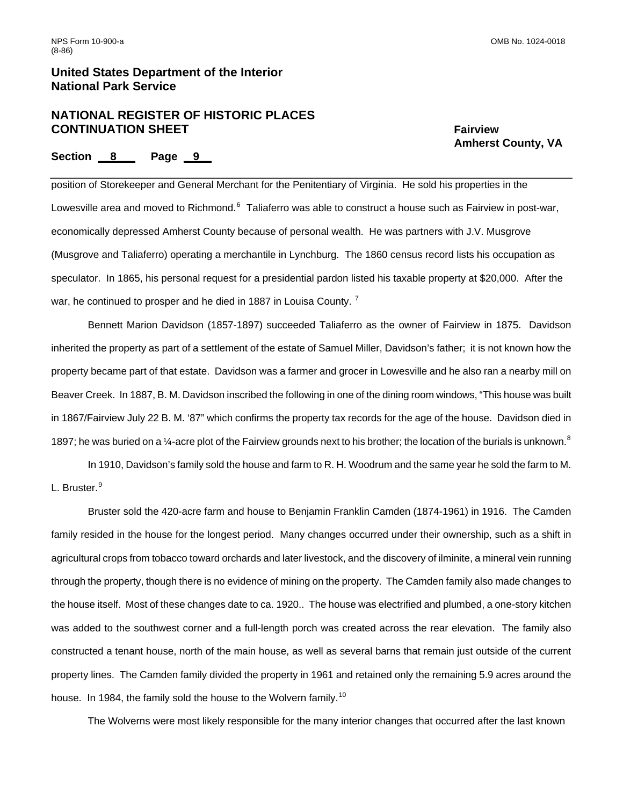# **NATIONAL REGISTER OF HISTORIC PLACES CONTINUATION SHEET** FAIRWALLER FAIRWIEW FAIRWIEW

 **Amherst County, VA** 

### **Section \_\_8\_\_\_ Page \_ 9\_\_**

position of Storekeeper and General Merchant for the Penitentiary of Virginia. He sold his properties in the Lowesville area and moved to Richmond.<sup>[6](#page-22-1)</sup> Taliaferro was able to construct a house such as Fairview in post-war, economically depressed Amherst County because of personal wealth. He was partners with J.V. Musgrove (Musgrove and Taliaferro) operating a merchantile in Lynchburg. The 1860 census record lists his occupation as speculator. In 1865, his personal request for a presidential pardon listed his taxable property at \$20,000. After the war, he continued to prosper and he died in 188[7](#page-22-1) in Louisa County.<sup>7</sup>

Bennett Marion Davidson (1857-1897) succeeded Taliaferro as the owner of Fairview in 1875. Davidson inherited the property as part of a settlement of the estate of Samuel Miller, Davidson's father; it is not known how the property became part of that estate. Davidson was a farmer and grocer in Lowesville and he also ran a nearby mill on Beaver Creek. In 1887, B. M. Davidson inscribed the following in one of the dining room windows, "This house was built in 1867/Fairview July 22 B. M. '87" which confirms the property tax records for the age of the house. Davidson died in 1[8](#page-22-1)97; he was buried on a  $\frac{1}{4}$ -acre plot of the Fairview grounds next to his brother; the location of the burials is unknown.<sup>8</sup>

 In 1910, Davidson's family sold the house and farm to R. H. Woodrum and the same year he sold the farm to M. L. Bruster.<sup>[9](#page-22-1)</sup>

 Bruster sold the 420-acre farm and house to Benjamin Franklin Camden (1874-1961) in 1916. The Camden family resided in the house for the longest period. Many changes occurred under their ownership, such as a shift in agricultural crops from tobacco toward orchards and later livestock, and the discovery of ilminite, a mineral vein running through the property, though there is no evidence of mining on the property. The Camden family also made changes to the house itself. Most of these changes date to ca. 1920.. The house was electrified and plumbed, a one-story kitchen was added to the southwest corner and a full-length porch was created across the rear elevation. The family also constructed a tenant house, north of the main house, as well as several barns that remain just outside of the current property lines. The Camden family divided the property in 1961 and retained only the remaining 5.9 acres around the house. In 1984, the family sold the house to the Wolvern family.<sup>[10](#page-22-1)</sup>

The Wolverns were most likely responsible for the many interior changes that occurred after the last known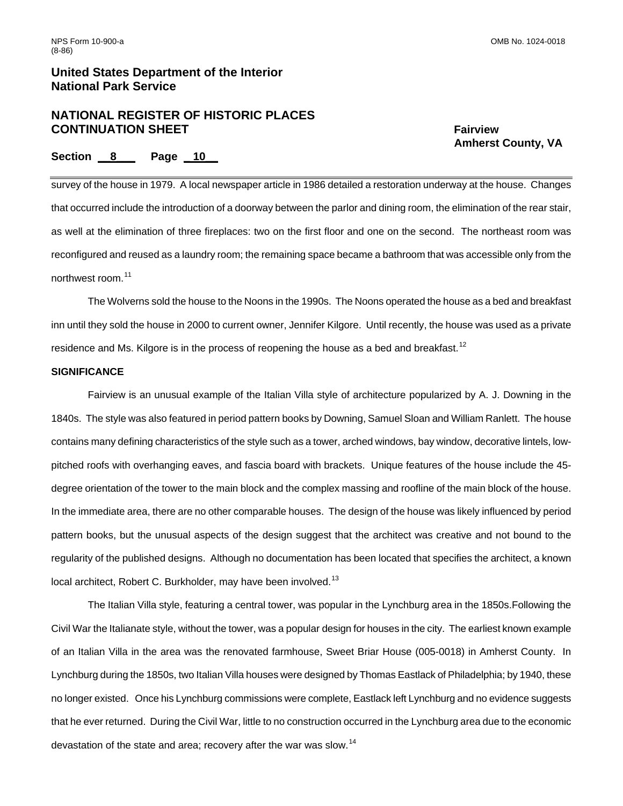# **NATIONAL REGISTER OF HISTORIC PLACES CONTINUATION SHEET** FAIRWALLER FAIRWIEW FAIRWIEW

 **Amherst County, VA** 

### **Section \_\_8\_\_\_ Page \_ 10\_\_**

survey of the house in 1979. A local newspaper article in 1986 detailed a restoration underway at the house. Changes that occurred include the introduction of a doorway between the parlor and dining room, the elimination of the rear stair, as well at the elimination of three fireplaces: two on the first floor and one on the second. The northeast room was reconfigured and reused as a laundry room; the remaining space became a bathroom that was accessible only from the northwest room.[11](#page-22-1)

The Wolverns sold the house to the Noons in the 1990s. The Noons operated the house as a bed and breakfast inn until they sold the house in 2000 to current owner, Jennifer Kilgore. Until recently, the house was used as a private residence and Ms. Kilgore is in the process of reopening the house as a bed and breakfast.<sup>[12](#page-22-1)</sup>

### **SIGNIFICANCE**

 Fairview is an unusual example of the Italian Villa style of architecture popularized by A. J. Downing in the 1840s. The style was also featured in period pattern books by Downing, Samuel Sloan and William Ranlett. The house contains many defining characteristics of the style such as a tower, arched windows, bay window, decorative lintels, lowpitched roofs with overhanging eaves, and fascia board with brackets. Unique features of the house include the 45 degree orientation of the tower to the main block and the complex massing and roofline of the main block of the house. In the immediate area, there are no other comparable houses. The design of the house was likely influenced by period pattern books, but the unusual aspects of the design suggest that the architect was creative and not bound to the regularity of the published designs. Although no documentation has been located that specifies the architect, a known local architect, Robert C. Burkholder, may have been involved.<sup>[13](#page-22-1)</sup>

The Italian Villa style, featuring a central tower, was popular in the Lynchburg area in the 1850s.Following the Civil War the Italianate style, without the tower, was a popular design for houses in the city. The earliest known example of an Italian Villa in the area was the renovated farmhouse, Sweet Briar House (005-0018) in Amherst County. In Lynchburg during the 1850s, two Italian Villa houses were designed by Thomas Eastlack of Philadelphia; by 1940, these no longer existed. Once his Lynchburg commissions were complete, Eastlack left Lynchburg and no evidence suggests that he ever returned. During the Civil War, little to no construction occurred in the Lynchburg area due to the economic devastation of the state and area; recovery after the war was slow.<sup>[14](#page-22-1)</sup>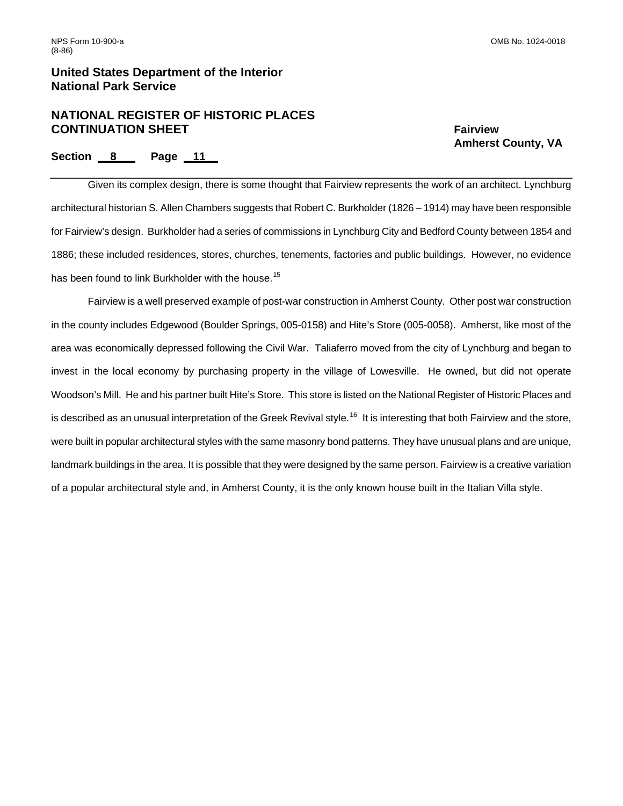# **NATIONAL REGISTER OF HISTORIC PLACES CONTINUATION SHEET** Fairview

 **Amherst County, VA** 

# **Section \_\_8\_\_\_ Page \_ 11\_\_**

Given its complex design, there is some thought that Fairview represents the work of an architect. Lynchburg architectural historian S. Allen Chambers suggests that Robert C. Burkholder (1826 – 1914) may have been responsible for Fairview's design. Burkholder had a series of commissions in Lynchburg City and Bedford County between 1854 and 1886; these included residences, stores, churches, tenements, factories and public buildings. However, no evidence has been found to link Burkholder with the house.<sup>[15](#page-22-1)</sup>

 Fairview is a well preserved example of post-war construction in Amherst County. Other post war construction in the county includes Edgewood (Boulder Springs, 005-0158) and Hite's Store (005-0058). Amherst, like most of the area was economically depressed following the Civil War. Taliaferro moved from the city of Lynchburg and began to invest in the local economy by purchasing property in the village of Lowesville. He owned, but did not operate Woodson's Mill. He and his partner built Hite's Store. This store is listed on the National Register of Historic Places and is described as an unusual interpretation of the Greek Revival style.<sup>[16](#page-22-1)</sup> It is interesting that both Fairview and the store, were built in popular architectural styles with the same masonry bond patterns. They have unusual plans and are unique, landmark buildings in the area. It is possible that they were designed by the same person. Fairview is a creative variation of a popular architectural style and, in Amherst County, it is the only known house built in the Italian Villa style.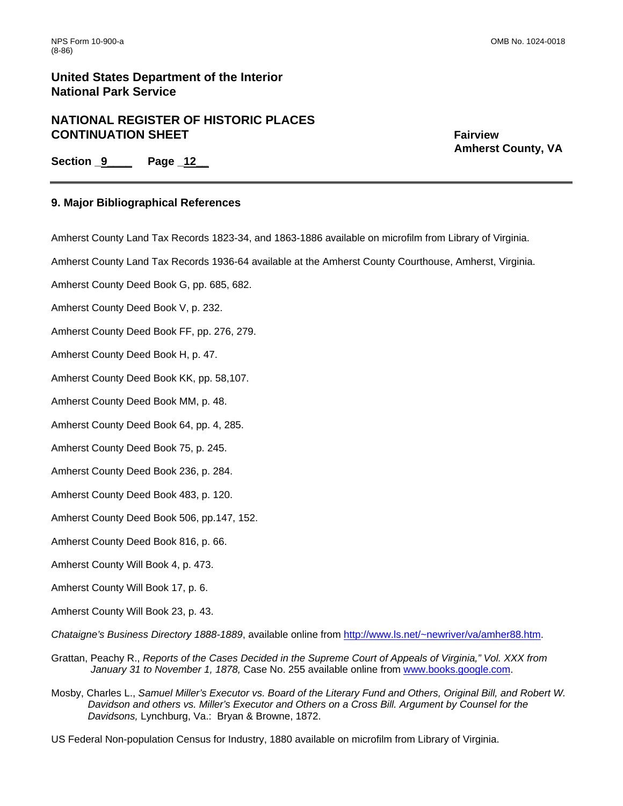# **NATIONAL REGISTER OF HISTORIC PLACES CONTINUATION SHEET** FAIRWALLER THE STATE FAIRWIEW SHEET

 **Amherst County, VA** 

**Section \_9\_\_\_\_ Page \_12\_\_** 

### **9. Major Bibliographical References**

Amherst County Land Tax Records 1823-34, and 1863-1886 available on microfilm from Library of Virginia.

Amherst County Land Tax Records 1936-64 available at the Amherst County Courthouse, Amherst, Virginia.

Amherst County Deed Book G, pp. 685, 682.

Amherst County Deed Book V, p. 232.

Amherst County Deed Book FF, pp. 276, 279.

Amherst County Deed Book H, p. 47.

Amherst County Deed Book KK, pp. 58,107.

Amherst County Deed Book MM, p. 48.

Amherst County Deed Book 64, pp. 4, 285.

Amherst County Deed Book 75, p. 245.

Amherst County Deed Book 236, p. 284.

Amherst County Deed Book 483, p. 120.

Amherst County Deed Book 506, pp.147, 152.

- Amherst County Deed Book 816, p. 66.
- Amherst County Will Book 4, p. 473.
- Amherst County Will Book 17, p. 6.
- Amherst County Will Book 23, p. 43.

*Chataigne's Business Directory 1888-1889*, available online from [http://www.ls.net/~newriver/va/amher88.htm.](http://www.ls.net/%7Enewriver/va/amher88.htm)

- Grattan, Peachy R., *Reports of the Cases Decided in the Supreme Court of Appeals of Virginia," Vol. XXX from January 31 to November 1, 1878,* Case No. 255 available online from [www.books.google.com.](http://www.books.google.com/)
- Mosby, Charles L., *Samuel Miller's Executor vs. Board of the Literary Fund and Others, Original Bill, and Robert W. Davidson and others vs. Miller's Executor and Others on a Cross Bill. Argument by Counsel for the Davidsons,* Lynchburg, Va.: Bryan & Browne, 1872.

US Federal Non-population Census for Industry, 1880 available on microfilm from Library of Virginia.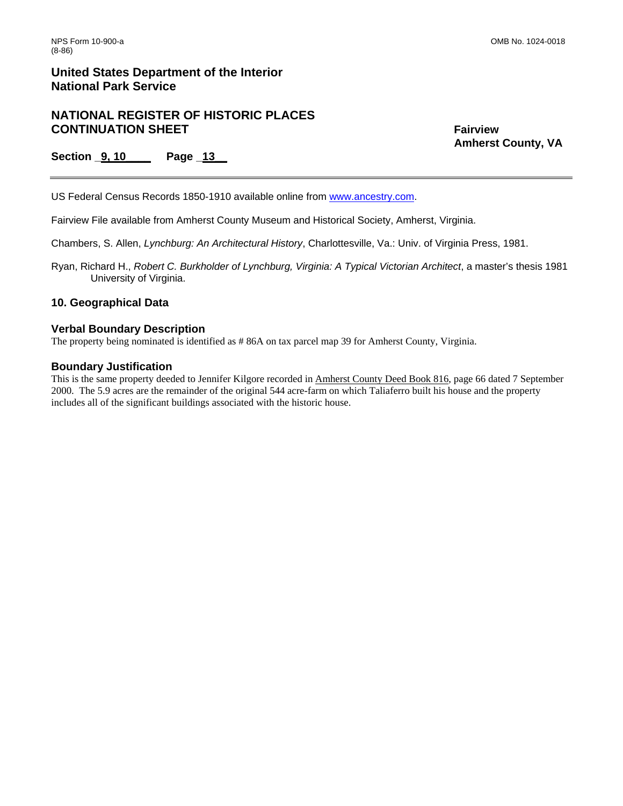# **NATIONAL REGISTER OF HISTORIC PLACES CONTINUATION SHEET** FAIRWALLER THE STATE FAIRWIEW SHEET

 **Amherst County, VA** 

**Section \_9, 10\_\_\_\_ Page \_13\_\_** 

US Federal Census Records 1850-1910 available online from [www.ancestry.com](http://www.ancestry.com/).

Fairview File available from Amherst County Museum and Historical Society, Amherst, Virginia.

Chambers, S. Allen, *Lynchburg: An Architectural History*, Charlottesville, Va.: Univ. of Virginia Press, 1981.

Ryan, Richard H., *Robert C. Burkholder of Lynchburg, Virginia: A Typical Victorian Architect*, a master's thesis 1981 University of Virginia.

### **10. Geographical Data**

#### **Verbal Boundary Description**

The property being nominated is identified as # 86A on tax parcel map 39 for Amherst County, Virginia.

#### **Boundary Justification**

This is the same property deeded to Jennifer Kilgore recorded in Amherst County Deed Book 816, page 66 dated 7 September 2000. The 5.9 acres are the remainder of the original 544 acre-farm on which Taliaferro built his house and the property includes all of the significant buildings associated with the historic house.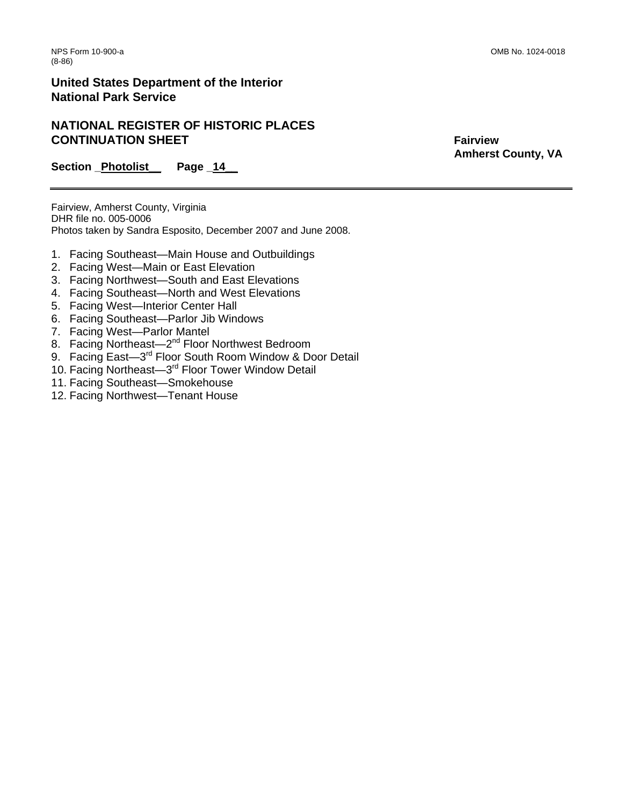# **NATIONAL REGISTER OF HISTORIC PLACES CONTINUATION SHEET** FAIRWALLER THE STATE FAIRWIEW SHEET

 **Amherst County, VA** 

Section Photolist Page 14

Fairview, Amherst County, Virginia DHR file no. 005-0006 Photos taken by Sandra Esposito, December 2007 and June 2008.

- 1. Facing Southeast—Main House and Outbuildings
- 2. Facing West—Main or East Elevation
- 3. Facing Northwest—South and East Elevations
- 4. Facing Southeast—North and West Elevations
- 5. Facing West—Interior Center Hall
- 6. Facing Southeast—Parlor Jib Windows
- 7. Facing West—Parlor Mantel
- 8. Facing Northeast-2<sup>nd</sup> Floor Northwest Bedroom
- 9. Facing East-3<sup>rd</sup> Floor South Room Window & Door Detail
- 10. Facing Northeast-3<sup>rd</sup> Floor Tower Window Detail
- 11. Facing Southeast—Smokehouse
- 12. Facing Northwest—Tenant House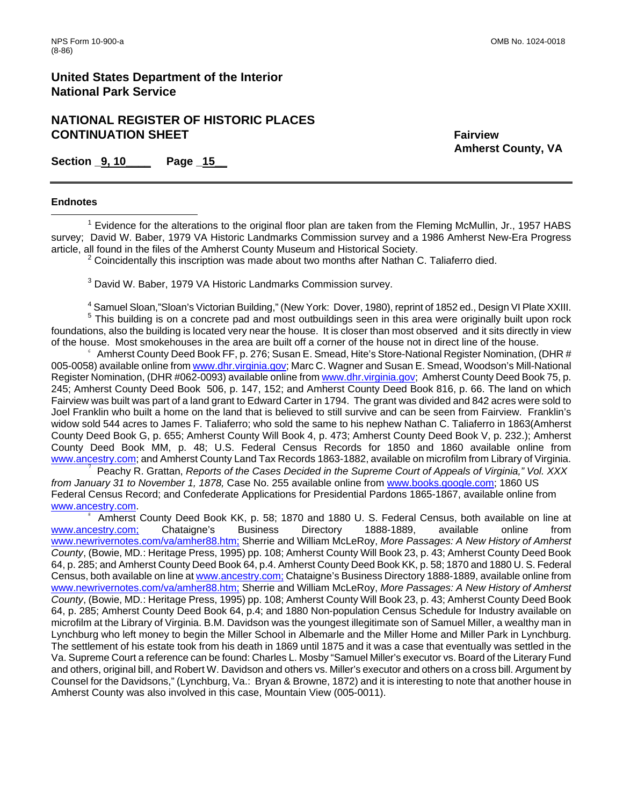# **NATIONAL REGISTER OF HISTORIC PLACES CONTINUATION SHEET** FAIRWALLER THE STATE FAIRWIEW SHEET

 **Amherst County, VA** 

**Section \_9, 10\_\_\_\_ Page \_15\_\_** 

#### **Endnotes**

 $\overline{\phantom{a}}$ <sup>1</sup> Evidence for the alterations to the original floor plan are taken from the Fleming McMullin, Jr., 1957 HABS survey; David W. Baber, 1979 VA Historic Landmarks Commission survey and a 1986 Amherst New-Era Progress article, all found in the files of the Amherst County Museum and Historical Society.

 $2$  Coincidentally this inscription was made about two months after Nathan C. Taliaferro died.

<sup>3</sup> David W. Baber, 1979 VA Historic Landmarks Commission survey.

<sup>4</sup> Samuel Sloan,"Sloan's Victorian Building," (New York: Dover, 1980), reprint of 1852 ed., Design VI Plate XXIII. <sup>5</sup> This building is on a concrete pad and most outbuildings seen in this area were originally built upon rock foundations, also the building is located very near the house. It is closer than most observed and it sits directly in view

of the house. Most smokehouses in the area are built off a corner of the house not in direct line of the house.  $6$  Amherst County Deed Book FF, p. 276; Susan E. Smead, Hite's Store-National Register Nomination, (DHR  $\#$ 005-0058) available online from [www.dhr.virginia.gov](http://www.dhr.virginia.gov/); Marc C. Wagner and Susan E. Smead, Woodson's Mill-National Register Nomination, (DHR #062-0093) available online from [www.dhr.virginia.gov](http://www.dhr.virginia.gov/); Amherst County Deed Book 75, p. 245; Amherst County Deed Book 506, p. 147, 152; and Amherst County Deed Book 816, p. 66. The land on which Fairview was built was part of a land grant to Edward Carter in 1794. The grant was divided and 842 acres were sold to Joel Franklin who built a home on the land that is believed to still survive and can be seen from Fairview. Franklin's widow sold 544 acres to James F. Taliaferro; who sold the same to his nephew Nathan C. Taliaferro in 1863(Amherst County Deed Book G, p. 655; Amherst County Will Book 4, p. 473; Amherst County Deed Book V, p. 232.); Amherst County Deed Book MM, p. 48; U.S. Federal Census Records for 1850 and 1860 available online from [www.ancestry.com;](http://www.ancestry.com/) and Amherst County Land Tax Records 1863-1882, available on microfilm from Library of Virginia. <sup>7</sup>

 Peachy R. Grattan, *Reports of the Cases Decided in the Supreme Court of Appeals of Virginia," Vol. XXX from January 31 to November 1, 1878,* Case No. 255 available online from [www.books.google.com;](http://www.books.google.com/) 1860 US Federal Census Record; and Confederate Applications for Presidential Pardons 1865-1867, available online from [www.ancestry.com.](http://www.ancestry.com/)

Amherst County Deed Book KK, p. 58; 1870 and 1880 U. S. Federal Census, both available on line at [www.ancestry.com;](http://www.ancestry.com;/) Chataigne's Business Directory 1888-1889, available online from [www.newrivernotes.com/va/amher88.htm;](http://www.newrivernotes.com/va/amher88.htm;) Sherrie and William McLeRoy, *More Passages: A New History of Amherst County*, (Bowie, MD*.*: Heritage Press, 1995) pp. 108; Amherst County Will Book 23, p. 43; Amherst County Deed Book 64, p. 285; and Amherst County Deed Book 64, p.4. Amherst County Deed Book KK, p. 58; 1870 and 1880 U. S. Federal Census, both available on line at [www.ancestry.com;](http://www.ancestry.com;/) Chataigne's Business Directory 1888-1889, available online from [www.newrivernotes.com/va/amher88.htm;](http://www.newrivernotes.com/va/amher88.htm;) Sherrie and William McLeRoy, *More Passages: A New History of Amherst County*, (Bowie, MD*.*: Heritage Press, 1995) pp. 108; Amherst County Will Book 23, p. 43; Amherst County Deed Book 64, p. 285; Amherst County Deed Book 64, p.4; and 1880 Non-population Census Schedule for Industry available on microfilm at the Library of Virginia. B.M. Davidson was the youngest illegitimate son of Samuel Miller, a wealthy man in Lynchburg who left money to begin the Miller School in Albemarle and the Miller Home and Miller Park in Lynchburg. The settlement of his estate took from his death in 1869 until 1875 and it was a case that eventually was settled in the Va. Supreme Court a reference can be found: Charles L. Mosby "Samuel Miller's executor vs. Board of the Literary Fund and others, original bill, and Robert W. Davidson and others vs. Miller's executor and others on a cross bill. Argument by Counsel for the Davidsons," (Lynchburg, Va.: Bryan & Browne, 1872) and it is interesting to note that another house in Amherst County was also involved in this case, Mountain View (005-0011).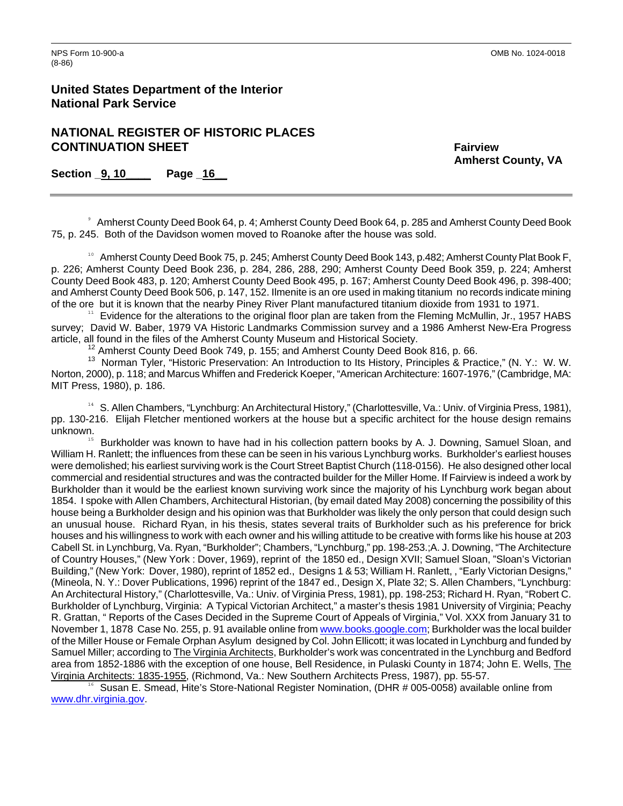<span id="page-22-1"></span>

**United States Department of the Interior National Park Service** 

# **NATIONAL REGISTER OF HISTORIC PLACES CONTINUATION SHEET** Fairview

 **Amherst County, VA** 

**Section \_9, 10\_\_\_\_ Page \_16\_\_** 

<span id="page-22-0"></span><sup>9</sup> Amherst County Deed Book 64, p. 4; Amherst County Deed Book 64, p. 285 and Amherst County Deed Book 75, p. 245. Both of the Davidson women moved to Roanoke after the house was sold.

<sup>10</sup> Amherst County Deed Book 75, p. 245; Amherst County Deed Book 143, p.482; Amherst County Plat Book F, p. 226; Amherst County Deed Book 236, p. 284, 286, 288, 290; Amherst County Deed Book 359, p. 224; Amherst County Deed Book 483, p. 120; Amherst County Deed Book 495, p. 167; Amherst County Deed Book 496, p. 398-400; and Amherst County Deed Book 506, p. 147, 152. Ilmenite is an ore used in making titanium no records indicate mining of the ore but it is known that the nearby Piney River Plant manufactured titanium dioxide from 1931 to 1971.

 $11$  Evidence for the alterations to the original floor plan are taken from the Fleming McMullin, Jr., 1957 HABS survey; David W. Baber, 1979 VA Historic Landmarks Commission survey and a 1986 Amherst New-Era Progress article, all found in the files of the Amherst County Museum and Historical Society.

<sup>12</sup> Amherst County Deed Book 749, p. 155; and Amherst County Deed Book 816, p. 66.

<sup>13</sup> Norman Tyler, "Historic Preservation: An Introduction to Its History, Principles & Practice," (N. Y.: W. W. Norton, 2000), p. 118; and Marcus Whiffen and Frederick Koeper, "American Architecture: 1607-1976," (Cambridge, MA: MIT Press, 1980), p. 186.

<sup>14</sup> S. Allen Chambers, "Lynchburg: An Architectural History," (Charlottesville, Va.: Univ. of Virginia Press, 1981), pp. 130-216. Elijah Fletcher mentioned workers at the house but a specific architect for the house design remains unknown.

<sup>15</sup> Burkholder was known to have had in his collection pattern books by A. J. Downing, Samuel Sloan, and William H. Ranlett; the influences from these can be seen in his various Lynchburg works. Burkholder's earliest houses were demolished; his earliest surviving work is the Court Street Baptist Church (118-0156). He also designed other local commercial and residential structures and was the contracted builder for the Miller Home. If Fairview is indeed a work by Burkholder than it would be the earliest known surviving work since the majority of his Lynchburg work began about 1854. I spoke with Allen Chambers, Architectural Historian, (by email dated May 2008) concerning the possibility of this house being a Burkholder design and his opinion was that Burkholder was likely the only person that could design such an unusual house. Richard Ryan, in his thesis, states several traits of Burkholder such as his preference for brick houses and his willingness to work with each owner and his willing attitude to be creative with forms like his house at 203 Cabell St. in Lynchburg, Va. Ryan, "Burkholder"; Chambers, "Lynchburg," pp. 198-253.;A. J. Downing, "The Architecture of Country Houses," (New York : Dover, 1969), reprint of the 1850 ed., Design XVII; Samuel Sloan, "Sloan's Victorian Building," (New York: Dover, 1980), reprint of 1852 ed., Designs 1 & 53; William H. Ranlett, , "Early Victorian Designs," (Mineola, N. Y.: Dover Publications, 1996) reprint of the 1847 ed., Design X, Plate 32; S. Allen Chambers, "Lynchburg: An Architectural History," (Charlottesville, Va.: Univ. of Virginia Press, 1981), pp. 198-253; Richard H. Ryan, "Robert C. Burkholder of Lynchburg, Virginia: A Typical Victorian Architect," a master's thesis 1981 University of Virginia; Peachy R. Grattan, " Reports of the Cases Decided in the Supreme Court of Appeals of Virginia," Vol. XXX from January 31 to November 1, 1878 Case No. 255, p. 91 available online from [www.books.google.com;](http://www.books.google.com/) Burkholder was the local builder of the Miller House or Female Orphan Asylum designed by Col. John Ellicott; it was located in Lynchburg and funded by Samuel Miller; according to The Virginia Architects, Burkholder's work was concentrated in the Lynchburg and Bedford area from 1852-1886 with the exception of one house, Bell Residence, in Pulaski County in 1874; John E. Wells, The Virginia Architects: 1835-1955, (Richmond, Va.: New Southern Architects Press, 1987), pp. 55-57.

<sup>16</sup> Susan E. Smead, Hite's Store-National Register Nomination, (DHR # 005-0058) available online from [www.dhr.virginia.gov](http://www.dhr.virginia.gov/).